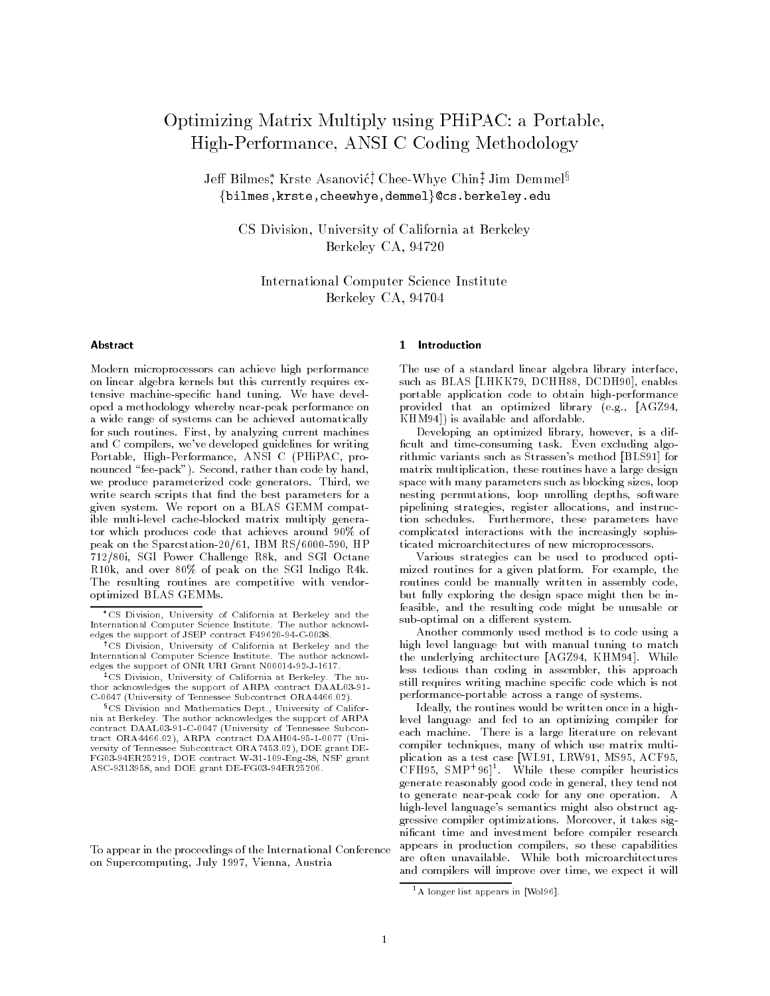# Optimizing Matrix Multiply using PHiPAC: a Portable, High-Performance, ANSI C Coding Methodology

Jen Bilmes, Krste Asanovic, Unee-Whye Unin<del>,</del> Jim Demmel<sup>s</sup>  $\{\texttt{bilmes}, \texttt{krste}, \texttt{cheewhye}, \texttt{demmel}\}$ @cs.berkeley.edu

CS Division, University of California at Berkeley Berkeley CA, 94720

International Computer Science Institute Berkeley CA, 94704

#### Abstract

Modern microprocessors can achieve high performance on linear algebra kernels but this currently requires extensive machine-specic hand tuning. We have developed a methodology whereby near-peak performance on a wide range of systems can be achieved automatically for such routines. First, by analyzing current machines and C compilers, we've developed guidelines for writing Portable, High-Performance, ANSI C (PHiPAC, pronounced "fee-pack"). Second, rather than code by hand, we produce parameterized code generators. Third, we write search scripts that find the best parameters for a given system. We report on a BLAS GEMM compatible multi-level cache-blocked matrix multiply generator which produces code that achieves around 90% of peak on the Sparcstation-20/61, IBM RS/6000-590, HP 712/80i, SGI Power Challenge R8k, and SGI Octane R10k, and over 80% of peak on the SGI Indigo R4k. The resulting routines are competitive with vendoroptimized BLAS GEMMs.

To appear in the proceedings of the International Conference on Supercomputing, July 1997, Vienna, Austria

#### 1 Introduction

The use of a standard linear algebra library interface, such as BLAS [LHKK79, DCHH88, DCDH90], enables portable application code to obtain high-performance provided that an optimized library (e.g., [AGZ94,  $KHM94]$ ) is available and affordable.

Developing an optimized library, however, is a dif ficult and time-consuming task. Even excluding algorithmic variants such as Strassen's method [BLS91] for matrix multiplication, these routines have a large design space with many parameters such as blocking sizes, loop nesting permutations, loop unrolling depths, software pipelining strategies, register allocations, and instruction schedules. Furthermore, these parameters have complicated interactions with the increasingly sophisticated microarchitectures of new microprocessors.

Various strategies can be used to produced optimized routines for a given platform. For example, the routines could be manually written in assembly code, but fully exploring the design space might then be infeasible, and the resulting code might be unusable or sub-optimal on a different system.

Another commonly used method is to code using a high level language but with manual tuning to match the underlying architecture [AGZ94, KHM94]. While less tedious than coding in assembler, this approach still requires writing machine specific code which is not performance-portable across a range of systems.

Ideally, the routines would be written once in a highlevel language and fed to an optimizing compiler for each machine. There is a large literature on relevant compiler techniques, many of which use matrix multiplication as a test case [WL91, LRW91, MS95, ACF95, CfH95, SMP+96|^. – While these compiler heuristics generate reasonably good code in general, they tend not to generate near-peak code for any one operation. A high-level language's semantics might also obstruct aggressive compiler optimizations. Moreover, it takes signicant time and investment before compiler research appears in production compilers, so these capabilities are often unavailable. While both microarchitectures and compilers will improve over time, we expect it will

CS Division, University of California at Berkeley and the edges the support of JSEP contract F49620-94-C-0038.

<sup>&</sup>lt;sup>†</sup>CS Division, University of California at Berkeley and the International Computer Science Institute. The author acknowledges the support of ONR URI Grant N00014-92-J-1617.

<sup>&</sup>lt;sup>‡</sup>CS Division, University of California at Berkeley. The author acknowledges the support of ARPA contract DAAL03-91- C-0047 (University of Tennessee Subcontract ORA4466.02).

<sup>&</sup>lt;sup>§</sup>CS Division and Mathematics Dept., University of California at Berkeley. The author acknowledges the support of ARPA contract DAAL03-91-C-0047 (University of Tennessee Subcontract ORA4466.02), ARPA contract DAAH04-95-1-0077 (Uni versity of Tennessee Subcontract ORA7453.02), DOE grant DE-FG03-94ER25219, DOE contract W-31-109-Eng-38, NSF grant ASC-9313958, and DOE grant DE-FG03-94ER25206.

 $<sup>1</sup>$  A longer list appears in [Wol96].</sup>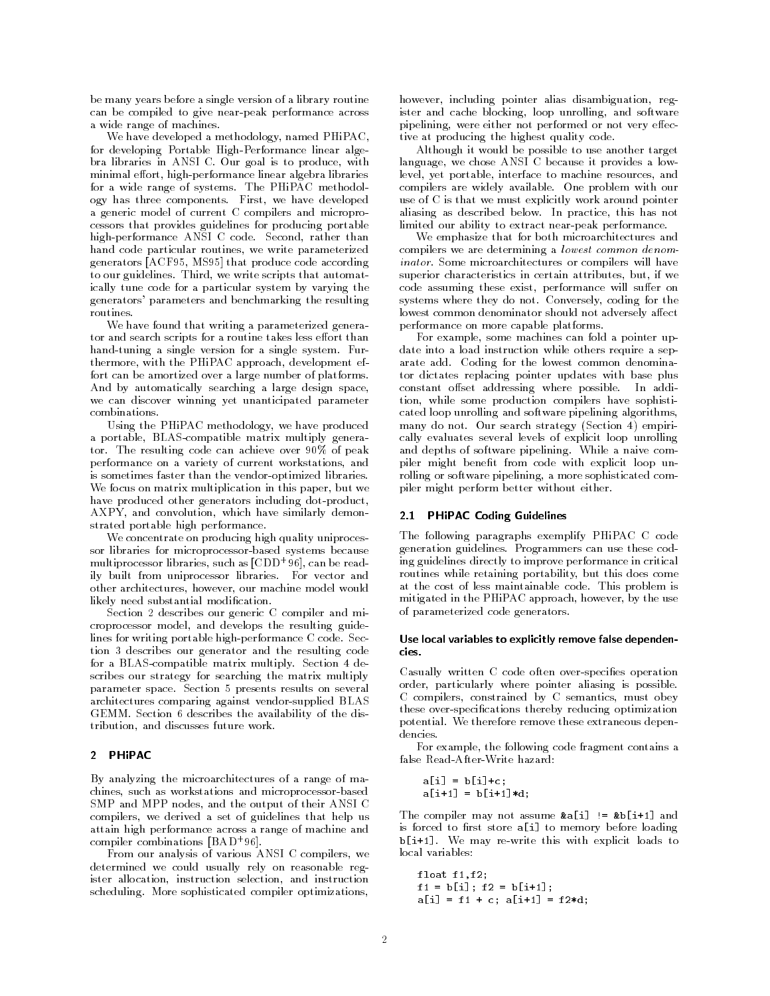be many years before a single version of a library routine can be compiled to give near-peak performance across a wide range of machines.

We have developed a methodology, named PHiPAC, for developing Portable High-Performance linear algebra libraries in ANSI C. Our goal is to produce, with minimal effort, high-performance linear algebra libraries for a wide range of systems. The PHiPAC methodology has three components. First, we have developed a generic model of current C compilers and microprocessors that provides guidelines for producing portable high-performance ANSI C code. Second, rather than hand code particular routines, we write parameterized generators [ACF95, MS95] that produce code according to our guidelines. Third, we write scripts that automatically tune code for a particular system by varying the generators' parameters and benchmarking the resulting routines.

We have found that writing a parameterized generator and search scripts for a routine takes less effort than hand-tuning a single version for a single system. Furthermore, with the PHiPAC approach, development effort can be amortized over a large number of platforms. And by automatically searching a large design space, we can discover winning yet unanticipated parameter combinations.

Using the PHiPAC methodology, we have produced a portable, BLAS-compatible matrix multiply generator. The resulting code can achieve over 90% of peak performance on a variety of current workstations, and is sometimes faster than the vendor-optimized libraries. We focus on matrix multiplication in this paper, but we have produced other generators including dot-product, AXPY, and convolution, which have similarly demonstrated portable high performance.

We concentrate on producing high quality uniprocessor libraries for microprocessor-based systems because multiprocessor libraries, such as [CDD<sup>+</sup> 96], can be readily built from uniprocessor libraries. For vector and other architectures, however, our machine model would likely need substantial modication.

Section 2 describes our generic C compiler and microprocessor model, and develops the resulting guidelines for writing portable high-performance C code. Section 3 describes our generator and the resulting code for a BLAS-compatible matrix multiply. Section 4 describes our strategy for searching the matrix multiply parameter space. Section 5 presents results on several architectures comparing against vendor-supplied BLAS GEMM. Section 6 describes the availability of the distribution, and discusses future work.

## 2 PHiPAC

By analyzing the microarchitectures of a range of machines, such as workstations and microprocessor-based SMP and MPP nodes, and the output of their ANSI C compilers, we derived a set of guidelines that help us attain high performance across a range of machine and compiler combinations [BAD+ 96].

From our analysis of various ANSI C compilers, we determined we could usually rely on reasonable register allocation, instruction selection, and instruction scheduling. More sophisticated compiler optimizations,

however, including pointer alias disambiguation, register and cache blocking, loop unrolling, and software pipelining, were either not performed or not very effective at producing the highest quality code.

Although it would be possible to use another target language, we chose ANSI C because it provides a lowlevel, yet portable, interface to machine resources, and compilers are widely available. One problem with our use of C is that we must explicitly work around pointer aliasing as described below. In practice, this has not limited our ability to extract near-peak performance.

We emphasize that for both microarchitectures and compilers we are determining a lowest common denominator. Some microarchitectures or compilers will have superior characteristics in certain attributes, but, if we code assuming these exist, performance will suffer on systems where they do not. Conversely, coding for the lowest common denominator should not adversely affect performance on more capable platforms.

For example, some machines can fold a pointer update into a load instruction while others require a separate add. Coding for the lowest common denominator dictates replacing pointer updates with base plus constant offset addressing where possible. In addition, while some production compilers have sophisticated loop unrolling and software pipelining algorithms, many do not. Our search strategy (Section 4) empirically evaluates several levels of explicit loop unrolling and depths of software pipelining. While a naive com piler might benefit from code with explicit loop unrolling or software pipelining, a more sophisticated compiler might perform better without either.

#### 2.1 PHiPAC Coding Guidelines

The following paragraphs exemplify PHiPAC C code generation guidelines. Programmers can use these coding guidelines directly to improve performance in critical routines while retaining portability, but this does come at the cost of less maintainable code. This problem is mitigated in the PHiPAC approach, however, by the use of parameterized code generators.

#### Use local variables to explicitly remove false dependencies.

Casually written C code often over-specifies operation order, particularly where pointer aliasing is possible. C compilers, constrained by C semantics, must obey these over-specications thereby reducing optimization potential. We therefore remove these extraneous dependencies

For example, the following code fragment contains a false Read-After-Write hazard:

 $\ddot{\cdot}$ 

a[i] = b[i]+c; a[i+1] = b[i+1]\*d;

The compiler may not assume  $kaf[i] := kb[i+1]$  and is forced to first store a [i] to memory before loading b[i+1]. We may re-write this with explicit loads to local variables:

```
float f1,f2;
f1 = b[i]; f2 = b[i+1];a[i] = f1 + c; a[i+1] = f2*d;
```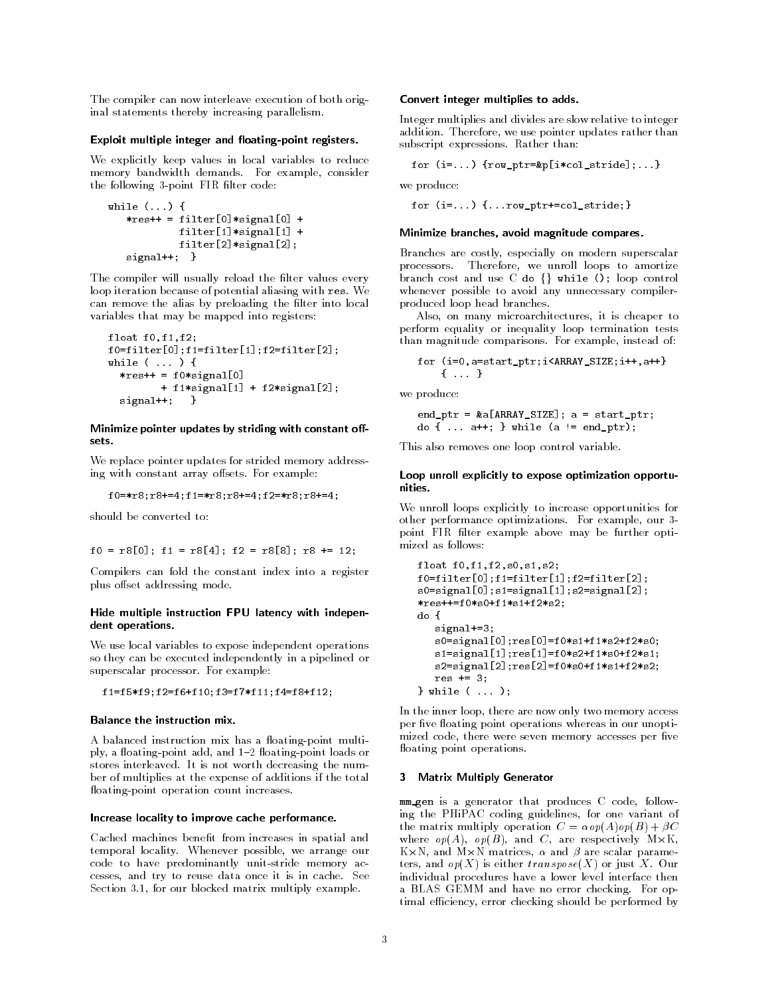The compiler can now interleave execution of both original statements thereby increasing parallelism.

#### Exploit multiple integer and floating-point registers.

We explicitly keep values in local variables to reduce memory bandwidth demands. For example, consider the following 3-point FIR filter code:

```
while (...) {
   *res++ = filter[0]*signal[0] +filter[1]*signal[1] +
           filter[2]*signal[2];
   signal++; }
```
The compiler will usually reload the filter values every loop iteration because of potential aliasing with res. We can remove the alias by preloading the filter into local variables that may be mapped into registers:

```
float f0,f1,f2;
f0=filter[0];f1=filter[1];f2=filter[2];
while ( ... ) {
  *res++ = f0*signal [0]+ f1*signal[1] + f2*signal[2];
  signal++;
              \rightarrow
```
### Minimize pointer updates by striding with constant offsets.

We replace pointer updates for strided memory addressing with constant array offsets. For example:

f0=\*r8;r8+=4;f1=\*r8;r8+=4;f2=\*r8;r8+=4;

should be converted to:

```
f0 = r8[0]; f1 = r8[4]; f2 = r8[8]; r8 += 12;
```
Compilers can fold the constant index into a register plus offset addressing mode.

#### Hide multiple instruction FPU latency with independent operations.

We use local variables to expose independent operations so they can be executed independently in a pipelined or superscalar processor. For example:

f1=f5\*f9;f2=f6+f10;f3=f7\*f11;f4=f8+f12;

#### Balance the instruction mix.

A balanced instruction mix has a floating-point multiply, a floating-point add, and 1-2 floating-point loads or stores interleaved. It is not worth decreasing the num ber of multiplies at the expense of additions if the total floating-point operation count increases.

#### Increase locality to improve cache performance.

Cached machines benet from increases in spatial and temporal locality. Whenever possible, we arrange our code to have predominantly unit-stride memory accesses, and try to reuse data once it is in cache. See Section 3.1, for our blocked matrix multiply example.

#### Convert integer multiplies to adds.

Integer multiplies and divides are slow relative to integer addition. Therefore, we use pointer updates rather than subscript expressions. Rather than:

for  $(i=...)$  {row\_ptr=&p[i\*col\_stride];...}

we produce:

for  $(i=...)$   $\{...row\_ptr+=col\_stride\}$ 

## Minimize branches, avoid magnitude compares.

Branches are costly, especially on modern superscalar processors. Therefore, we unroll loops to amortize branch cost and use C do  $\{\}\$  while (); loop control whenever possible to avoid any unnecessary compilerproduced loop head branches.

Also, on many microarchitectures, it is cheaper to perform equality or inequality loop termination tests than magnitude comparisons. For example, instead of:

```
for (i=0,a=start_ptr;i<ARRAY_SIZE;i++,a++}
   { ... }
```
we produce:

end\_ptr = &a[ARRAY\_SIZE]; a = start\_ptr; do { ...  $a++$ ; } while ( $a != end\_ptr$ );

This also removes one loop control variable.

#### Loop unroll explicitly to expose optimization opportunities.

We unroll loops explicitly to increase opportunities for other performance optimizations. For example, our 3 point FIR filter example above may be further optimized as follows:

```
float f0,f1,f2,s0,s1,s2;
f0=filter[0];f1=filter[1];f2=filter[2];
s0 = signal[0]; s1 = signal[1]; s2 = signal[2];*res++=f0*s0+f1*s1+f2*s2;
do {
   signal+=3;
   s0 = signal[0];res[0] = f0 * s1 + f1 * s2 + f2 * s0;
   s1=signal[1];res[1]=f0*s2+f1*s0+f2*s1;
   s2=signal[2];res[2]=f0*s0+f1*s1+f2*s2;
  res += 3;
} while ( ... );
```
In the inner loop, there are now only two memory access per five floating point operations whereas in our unoptimized code, there were seven memory accesses per five floating point operations.

#### **Matrix Multiply Generator** 3

mm gen is a generator that produces C code, following the PHiPAC coding guidelines, for one variant of the matrix multiply operation  $C = \alpha \circ p(A) \circ p(B) + \beta C$ where  $\mathfrak{op}(A)$ ,  $\mathfrak{op}(B)$ , and  $C$ , are respectively  $M\times K$ , <code>K $\times$ N</code> , and M $\times$ N matrices,  $\alpha$  and  $\beta$  are scalar parameters, and  $op(X)$  is either transpose(X) or just X. Our individual procedures have a lower level interface then a BLAS GEMM and have no error checking. For optimal efficiency, error checking should be performed by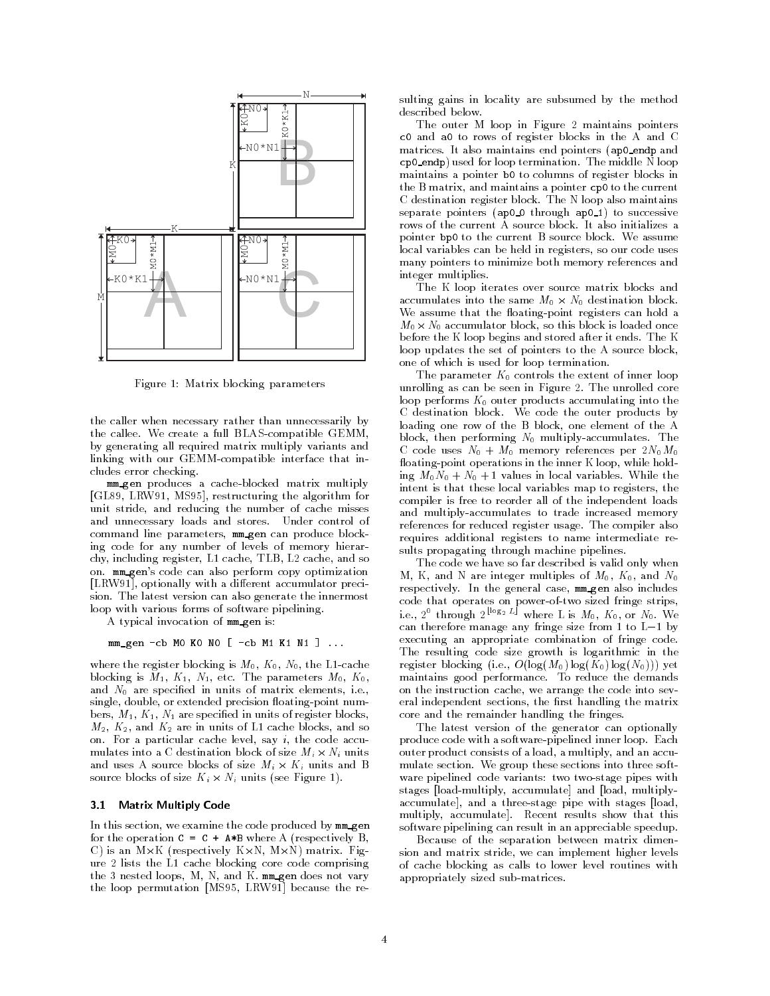

Figure 1: Matrix blocking parameters

the caller when necessary rather than unnecessarily by the callee. We create a full BLAS-compatible GEMM, by generating all required matrix multiply variants and linking with our GEMM-compatible interface that includes error checking.

mm gen produces a cache-blocked matrix multiply [GL89, LRW91, MS95], restructuring the algorithm for unit stride, and reducing the number of cache misses and unnecessary loads and stores. Under control of command line parameters, mm gen can produce blocking code for any number of levels of memory hierarchy, including register, L1 cache, TLB, L2 cache, and so on. mm gen's code can also perform copy optimization [LRW91], optionally with a different accumulator precision. The latest version can also generate the innermost loop with various forms of software pipelining.

A typical invocation of mm gen is:

#### mm\_gen -cb M0 K0 N0 [ -cb M1 K1 N1 ] ...

where the register blocking is  $M_0$ ,  $K_0$ ,  $N_0$ , the L1-cache blocking is  $M_1$ ,  $K_1$ ,  $N_1$ , etc. The parameters  $M_0$ ,  $K_0$ , and N0 are specific in units of matrix elements, i.e., i.e., i.e., i.e., i.e., i.e., i.e., i.e., i.e., i.e., i single, double, or extended precision floating-point numbers, M1 , K1, N1 are specied in units of register blocks,  $M_2$ ,  $K_2$ , and  $K_2$  are in units of L1 cache blocks, and so on. For a particular cache level, say  $i$ , the code accumulates into a U destination block of size  $M_i \times N_i$  units and uses A source blocks of size  $M_i \times K_i$  units and B source blocks of size  $K_i \times N_i$  units (see Figure 1).

#### 3.1 Matrix Multiply Code

In this section, we examine the code produced by mm gen for the operation  $C = C + A*B$  where A (respectively B,  $C$ ) is an M $\times$ K (respectively K $\times$ N, M $\times$ N) matrix. Figure 2 lists the L1 cache blocking core code comprising the 3 nested loops, M, N, and K. mm gen does not vary the loop permutation [MS95, LRW91] because the resulting gains in locality are subsumed by the method described below.

The outer M loop in Figure 2 maintains pointers c0 and a0 to rows of register blocks in the A and C matrices. It also maintains end pointers (ap0 endp and cp0 endp) used for loop termination. The middle N loop maintains a pointer b0 to columns of register blocks in the B matrix, and maintains a pointer cp0 to the current C destination register block. The N loop also maintains separate pointers (ap0 $\angle$ 0 through ap0 $\angle$ 1) to successive rows of the current A source block. It also initializes a pointer bp0 to the current B source block. We assume local variables can be held in registers, so our code uses many pointers to minimize both memory references and integer multiplies.

The K loop iterates over source matrix blocks and accumulates into the same  $M_0 \times N_0$  destination-block. We assume that the floating-point registers can hold a  $M_0 \times N_0$  accumulator block, so this block is loaded once before the K loop begins and stored after it ends. The K loop updates the set of pointers to the A source block, one of which is used for loop termination.

The parameter  $K_0$  controls the extent of inner loop unrolling as can be seen in Figure 2. The unrolled core loop performs  $K_0$  outer products accumulating into the C destination block. We code the outer products by loading one row of the B block, one element of the A block, then performing  $N_0$  multiply-accumulates. The C code uses  $N_0 + M_0$  memory references per  $2N_0M_0$ floating-point operations in the inner K loop, while holding M0N0 <sup>+</sup> N0 +1 values in local variables. While the intent is that these local variables map to registers, the compiler is free to reorder all of the independent loads and multiply-accumulates to trade increased memory references for reduced register usage. The compiler also requires additional registers to name intermediate results propagating through machine pipelines.

The code we have so far described is valid only when M, K, and N are integer multiples of  $M_0$ ,  $K_0$ , and  $N_0$ respectively. In the general case, mm gen also includes code that operates on power-of-two sized fringe strips, 1.e., 2° through 2  $10^{82}$   $^{1082}$  where L is  $M_0$ ,  $K_0$ , or  $N_0$ . We can therefore manage any fringe size from 1 to  $L-1$  by executing an appropriate combination of fringe code. The resulting code size growth is logarithmic in the register blocking (i.e.,  $O(\log(M_0) \log(K_0) \log(N_0)))$  yet maintains good performance. To reduce the demands on the instruction cache, we arrange the code into several independent sections, the first handling the matrix core and the remainder handling the fringes.

The latest version of the generator can optionally produce code with a software-pipelined inner loop. Each outer product consists of a load, a multiply, and an accu mulate section. We group these sections into three soft ware pipelined code variants: two two-stage pipes with stages [load-multiply, accumulate] and [load, multiplyaccumulate], and a three-stage pipe with stages [load, multiply, accumulate]. Recent results show that this software pipelining can result in an appreciable speedup.

Because of the separation between matrix dimension and matrix stride, we can implement higher levels of cache blocking as calls to lower level routines with appropriately sized sub-matrices.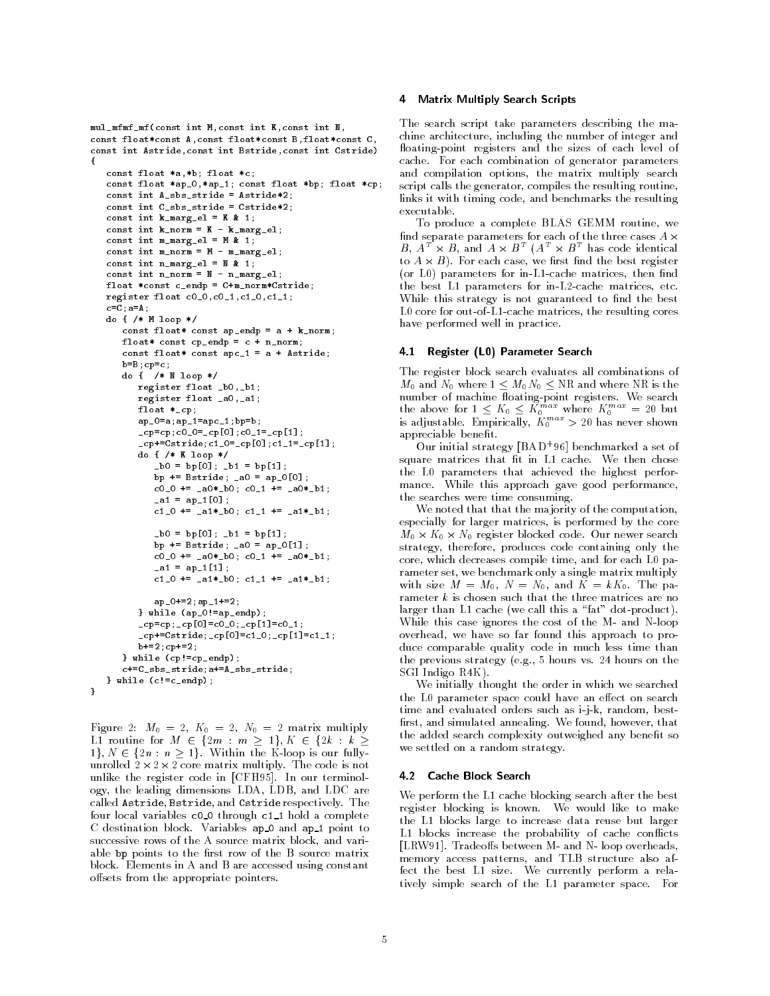```
mul_mfmf_mf(const int M,const int K,const int N,
const float*const A,const float*const B,float*const C,
const int Astride,const int Bstride,const int Cstride)
f.
{\color{blue} \ddots}const float *a,*b; float *c;
   const float *ap_0,*ap_1; const float *bp; float *cp;
   const int A_sbs_stride = Astride*2;
   const int C_sbs_stride = Cstride*2;
   const int k\_marg_e 1 = K * 1;
   const int k\_norm = K - k\_marg\_el;const int m_marg_el = M & 1;
   const int m_norm = M - m_marg_el;
   const int n\_marg_e1 = N & 1;
   const int n\_norm = N - n\_marg\_el;
   float *const c_endp = C+m_norm*Cstride;
   register float c0_0,c0_1,c1_0,c1_1;
   c = C : a = A:
   \sima\simdo { /* M loop */
      const float* const ap_endp = a + k_norm;
      float* const cp\_endp = c + n\_norm;const float* const apc_1 = a + Astride;
      b=B;cp=c;do { /* N loop */
         register float _b0,_b1;
         register float _a0,_a1;
         float *_cp;
         ap_0=a;ap_1=apc_1;bp=b;
         _{\tt \_cp=cp; c0\_0=_{cp}[0]; c0_1=_{cp}[1];_cp+=Cstride;c1_0=_cp[0];c1_1=_cp[1];
         do { /* K loop */
            _b0 = bp[0]; b1 = bp[1];bp += Bstride; _a0 = ap_0[0];
            c0_0 += a0* b0; c0_1 += a0* b1;
            a1 = ap_1[0];c1_0 += _a1*_b0; c1_1 += _a1*_b1;
            _b0 = bp[0]; b1 = bp[1];bp += Bstride; a0 = ap_0[1];c0_0 += a0*b0; c0_1 += a0*b1;
            a1 = ap_1[1];c1_0 += _a1*_b0; c1_1 += _a1*_b1;
            ap_0+=2;ap_1+=2;
         } while (ap_0!=ap_endp);
         _{\text{c}} p=cp; _{\text{c}} p[0]=c0_0; _{\text{c}} p[1]=c0_1;
         _cp+=Cstride;_cp[0]=c1_0;_cp[1]=c1_1;
         b+=2;cp+=2;
      } while (cp!=cp_endp);
      c+=C_sbs_stride;a+=A_sbs_stride;
   } while (c!=c_endp);
}
```
Figure 2:  $M_0 = 2$ ,  $K_0 = 2$ ,  $N_0 = 2$  matrix multiply L1 routine for  $M \in \{2m : m \geq 1\}, K \in \{2k : k \geq 1\}$  $1, N \in \{2n : n \geq 1\}.$  Within the K-loop is our fullyunrolled  $2 \times 2 \times 2$  core matrix multiply. The code is not unlike the register code in [CFH95]. In our terminology, the leading dimensions LDA, LDB, and LDC are called Astride, Bstride, and Cstride respectively. The four local variables c0 0 through c1 1 hold a complete C destination block. Variables ap 0 and ap 1 point to successive rows of the A source matrix block, and variable bp points to the first row of the B source matrix block. Elements in A and B are accessed using constant offsets from the appropriate pointers.

#### 4 Matrix Multiply Search Scripts

The search script take parameters describing the machine architecture, including the number of integer and floating-point registers and the sizes of each level of cache. For each combination of generator parameters and compilation options, the matrix multiply search script calls the generator, compiles the resulting routine, links it with timing code, and benchmarks the resulting executable.

To produce a complete BLAS GEMM routine, we find separate parameters for each of the three cases  $A \times$  $B, A^-\times B,$  and  $A\times B^-$  ( $A^-\times B^-$  has code identical to  $A \times B$ ). For each case, we first find the best register (or L0) parameters for in-L1-cache matrices, then find the best L1 parameters for in-L2-cache matrices, etc. While this strategy is not guaranteed to find the best L0 core for out-of-L1-cache matrices, the resulting cores have performed well in practice.

#### 4.1 Register (L0) Parameter Search

The register block search evaluates all combinations of  $M_{\rm 0}$  and  $N_{\rm 0}$  where  $1 \le M_{\rm 0} N_{\rm 0} \le \text{NR}$  and where NR is the number of machine floating-point registers. We search the above for  $1 \leq K_0 \leq K_0^{max}$  where  $K_0^{max} = 20$  but is adjustable. Empirically,  $K_0^{max} > 20$  has never shown appreciable benefit.

Our initial strategy [BAD<sup>+</sup> 96] benchmarked a set of square matrices that fit in L1 cache. We then chose the L0 parameters that achieved the highest performance. While this approach gave good performance, the searches were time consuming.

We noted that that the majority of the computation, especially for larger matrices, is performed by the core  $M_0 \times K_0 \times N_0$  register blocked code. Our newer search strategy, therefore, produces code containing only the core, which decreases compile time, and for each L0 parameter set, we benchmark only a single matrix multiply with size  $M = M_0$ ,  $N = N_0$ , and  $K = kK_0$ . The parameter k is chosen such that the three matrices are no larger than L1 cache (we call this a "fat" dot-product). While this case ignores the cost of the M- and N-loop overhead, we have so far found this approach to produce comparable quality code in much less time than the previous strategy (e.g., 5 hours vs. 24 hours on the SGI Indigo R4K).

We initially thought the order in which we searched the L0 parameter space could have an effect on search time and evaluated orders such as i-j-k, random, best first, and simulated annealing. We found, however, that the added search complexity outweighed any benefit so we settled on a random strategy.

#### 4.2 Cache Block Search

We perform the L1 cache blocking search after the best register blocking is known. We would like to make the L1 blocks large to increase data reuse but larger L1 blocks increase the probability of cache conflicts [LRW91]. Tradeoffs between M- and N- loop overheads, memory access patterns, and TLB structure also affect the best L1 size. We currently perform a relatively simple search of the L1 parameter space. For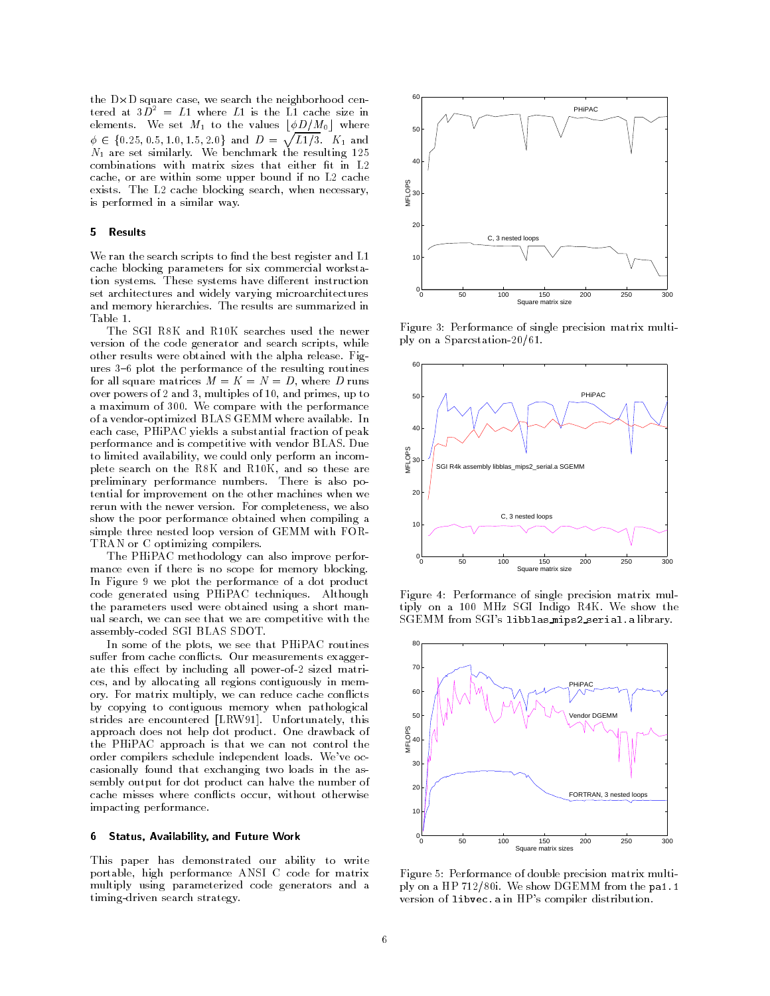the D×D square case, we search the neighborhood centered at  $3\overrightarrow{D}^2 = L1$  where L1 is the L1 cache size in elements. We set  $M_1$  to the values  $\lfloor \phi D/M_0 \rfloor$  where  $\phi \in \{0.25, 0.5, 1.0, 1.5, 2.0\}$  and  $D = \sqrt{L1/3}$ .  $K_1$  and N1 are set similarly. We benchmark the resulting 125 combinations with matrix sizes that either fit in L2 cache, or are within some upper bound if no L2 cache exists. The L2 cache blocking search, when necessary, is performed in a similar way.

#### 5 Results

We ran the search scripts to find the best register and L1 cache blocking parameters for six commercial workstation systems. These systems have different instruction set architectures and widely varying microarchitectures and memory hierarchies. The results are summarized in Table 1.

The SGI R8K and R10K searches used the newer version of the code generator and search scripts, while other results were obtained with the alpha release. Figures 3-6 plot the performance of the resulting routines for all square matrices  $M = K = N = D$ , where D runs over powers of 2 and 3, multiples of 10, and primes, up to a maximum of 300. We compare with the performance of a vendor-optimized BLAS GEMM where available. In each case, PHiPAC yields a substantial fraction of peak performance and is competitive with vendor BLAS. Due to limited availability, we could only perform an incomplete search on the R8K and R10K, and so these are preliminary performance numbers. There is also potential for improvement on the other machines when we rerun with the newer version. For completeness, we also show the poor performance obtained when compiling a simple three nested loop version of GEMM with FOR-TRAN or C optimizing compilers.

The PHiPAC methodology can also improve perfor mance even if there is no scope for memory blocking. In Figure 9 we plot the performance of a dot product code generated using PHiPAC techniques. Although the parameters used were obtained using a short manual search, we can see that we are competitive with the assembly-coded SGI BLAS SDOT.

In some of the plots, we see that PHiPAC routines suffer from cache conflicts. Our measurements exaggerate this effect by including all power-of-2 sized matrices, and by allocating all regions contiguously in memory. For matrix multiply, we can reduce cache con
icts by copying to contiguous memory when pathological strides are encountered [LRW91]. Unfortunately, this approach does not help dot product. One drawback of the PHiPAC approach is that we can not control the order compilers schedule independent loads. We've occasionally found that exchanging two loads in the assembly output for dot product can halve the number of cache misses where con
icts occur, without otherwise impacting performance.

#### 6 Status, Availability, and Future Work

This paper has demonstrated our ability to write portable, high performance ANSI C code for matrix multiply using parameterized code generators and a timing-driven search strategy.



Figure 3: Performance of single precision matrix multiply on a Sparcstation-20/61.



Figure 4: Performance of single precision matrix multiply on a 100 MHz SGI Indigo R4K. We show the SGEMM from SGI's libblas mips2 serial.a library.



Figure 5: Performance of double precision matrix multiply on a HP 712/80i. We show DGEMM from the pa1.1 version of libvec.a in HP's compiler distribution.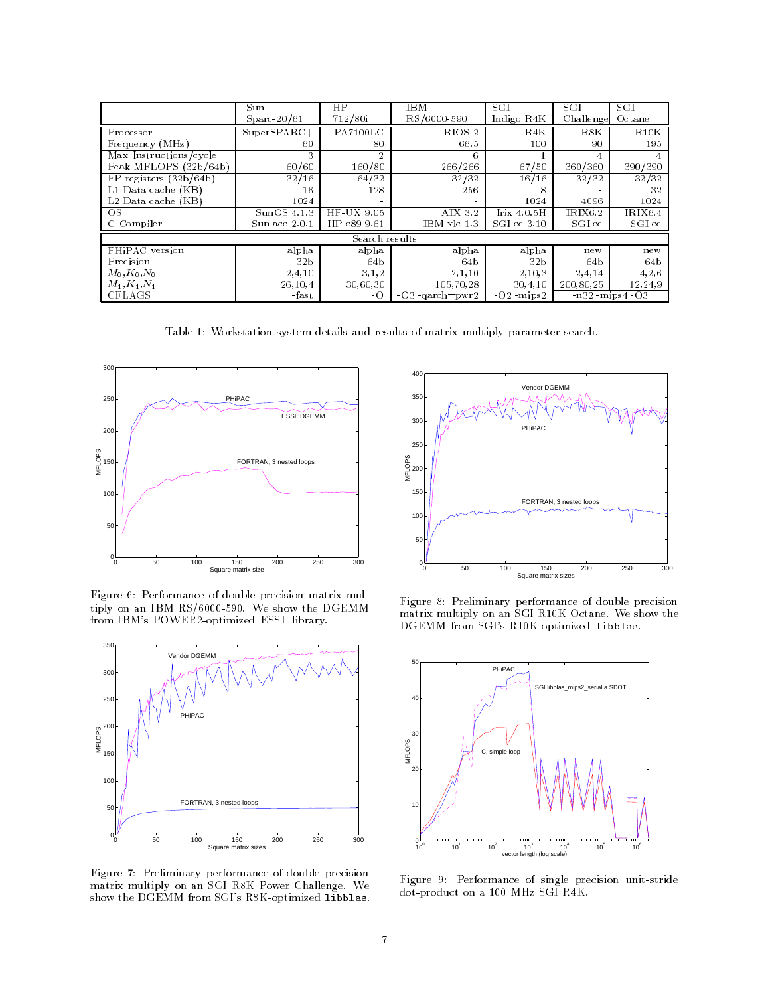|                                | Sun               | ΗP            | IBM               | SGI             | SGI                 | SGI        |
|--------------------------------|-------------------|---------------|-------------------|-----------------|---------------------|------------|
|                                | Sparc $20/61$     | 712/80i       | RS/6000-590       | Indigo R4K      | Challenge           | Octane     |
| Processor                      | SuperSPACE        | PA7100LC      | RIOS-2            | R4K             | R8K                 | R10K       |
| Frequency (MHz)                | 60                | 80            | 66.5              | 100             | 90                  | 195        |
| Max Instructions/cycle         | 3                 | 2             | 6                 |                 |                     |            |
| Peak MFLOPS (32b/64b)          | 60/60             | 160/80        | 266/266           | 67/50           | 360/360             | 390/390    |
| $FP$ registers $(32b/64b)$     | 32/16             | 64/32         | 32/32             | 16/16           | 32/32               | 32/32      |
| L1 Data cache (KB)             | 16                | 128           | 256               | 8               |                     | 32         |
| L <sub>2</sub> Data cache (KB) | 1024              |               |                   | 1024            | 4096                | 1024       |
| OS                             | $SunOS$ 4.1.3     | $HP$ -UX 9.05 | AIX 3.2           | Irix 4.0.5H     | IRIX6.2             | IRIX6.4    |
| C Compiler                     | $Sum$ acc $2.0.1$ | HP c89 9.61   | $IBM$ xlc $1.3$   | $SGI$ cc $3.10$ | $SGI_{cc}$          | $SGI_{cc}$ |
| Search results                 |                   |               |                   |                 |                     |            |
| PHiPAC version                 | alpha             | alpha         | alpha             | alpha           | new                 | new        |
| Precision                      | 32b               | 64b           | 64b               | 32 <sub>b</sub> | 64b                 | 64b        |
| $M_0, K_0, N_0$                | 2,4,10            | 3,1,2         | 2,1,10            | 2,10,3          | 2.4.14              | 4,2,6      |
| $M_1, K_1, N_1$                | 26,10,4           | 30,60,30      | 105,70,28         | 30,4,10         | 200,80,25           | 12,24,9    |
| CFLAGS                         | -fast             | $-\Omega$     | $-03$ -qarch=pwr2 | $-02$ -mips2    | $-n32 - mips4 - O3$ |            |

Table 1: Workstation system details and results of matrix multiply parameter search.



Figure 6: Performance of double precision matrix multiply on an IBM RS/6000-590. We show the DGEMM from IBM's POWER2-optimized ESSL library.



Figure 7: Preliminary performance of double precision matrix multiply on an SGI R8K Power Challenge. We show the DGEMM from SGI's R8K-optimized libblas.



Figure 8: Preliminary performance of double precision matrix multiply on an SGI R10K Octane. We show the DGEMM from SGI's R10K-optimized libblas.



Figure 9: Performance of single precision unit-stride dot-product on a 100 MHz SGI R4K.